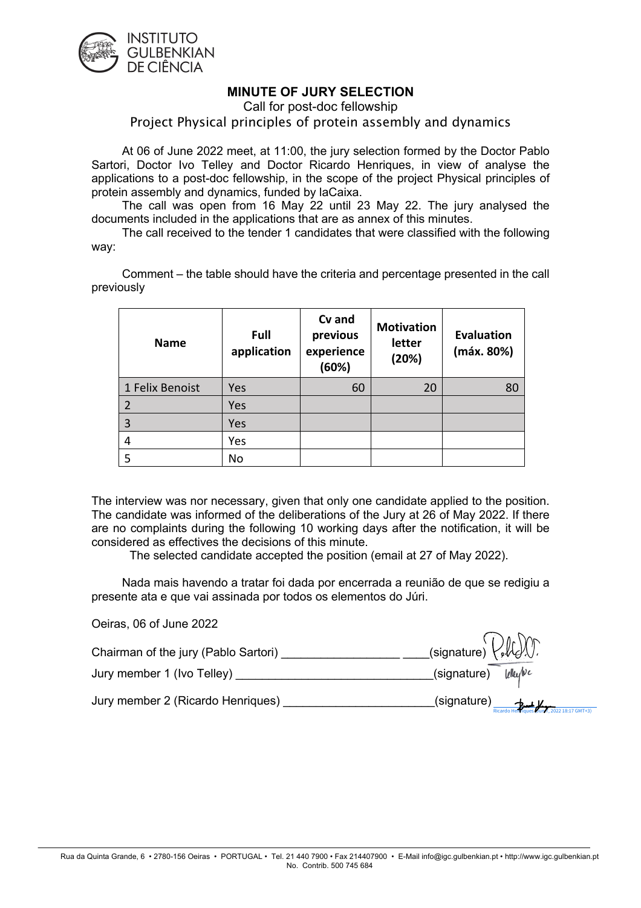

## **MINUTE OF JURY SELECTION**

Call for post-doc fellowship

## Project Physical principles of protein assembly and dynamics

At 06 of June 2022 meet, at 11:00, the jury selection formed by the Doctor Pablo Sartori, Doctor Ivo Telley and Doctor Ricardo Henriques, in view of analyse the applications to a post-doc fellowship, in the scope of the project Physical principles of protein assembly and dynamics, funded by laCaixa.

The call was open from 16 May 22 until 23 May 22. The jury analysed the documents included in the applications that are as annex of this minutes.

The call received to the tender 1 candidates that were classified with the following way:

Comment – the table should have the criteria and percentage presented in the call previously

| <b>Name</b>     | Full<br>application | Cv and<br>previous<br>experience<br>(60%) | <b>Motivation</b><br>letter<br>(20%) | <b>Evaluation</b><br>(máx. 80%) |
|-----------------|---------------------|-------------------------------------------|--------------------------------------|---------------------------------|
| 1 Felix Benoist | Yes                 | 60                                        | 20                                   | 80                              |
|                 | Yes                 |                                           |                                      |                                 |
| 3               | Yes                 |                                           |                                      |                                 |
| 4               | Yes                 |                                           |                                      |                                 |
|                 | No                  |                                           |                                      |                                 |

The interview was nor necessary, given that only one candidate applied to the position. The candidate was informed of the deliberations of the Jury at 26 of May 2022. If there are no complaints during the following 10 working days after the notification, it will be considered as effectives the decisions of this minute.

The selected candidate accepted the position (email at 27 of May 2022).

Nada mais havendo a tratar foi dada por encerrada a reunião de que se redigiu a presente ata e que vai assinada por todos os elementos do Júri.

| Oeiras, 06 of June 2022              |                                                  |
|--------------------------------------|--------------------------------------------------|
| Chairman of the jury (Pablo Sartori) | $\text{C}(\text{signature})\text{CAL}(\text{C})$ |
| Jury member 1 (Ivo Telley)           | (signature) <i>klufvc</i>                        |
| Jury member 2 (Ricardo Henriques)    | $\text{ (signature)}$                            |